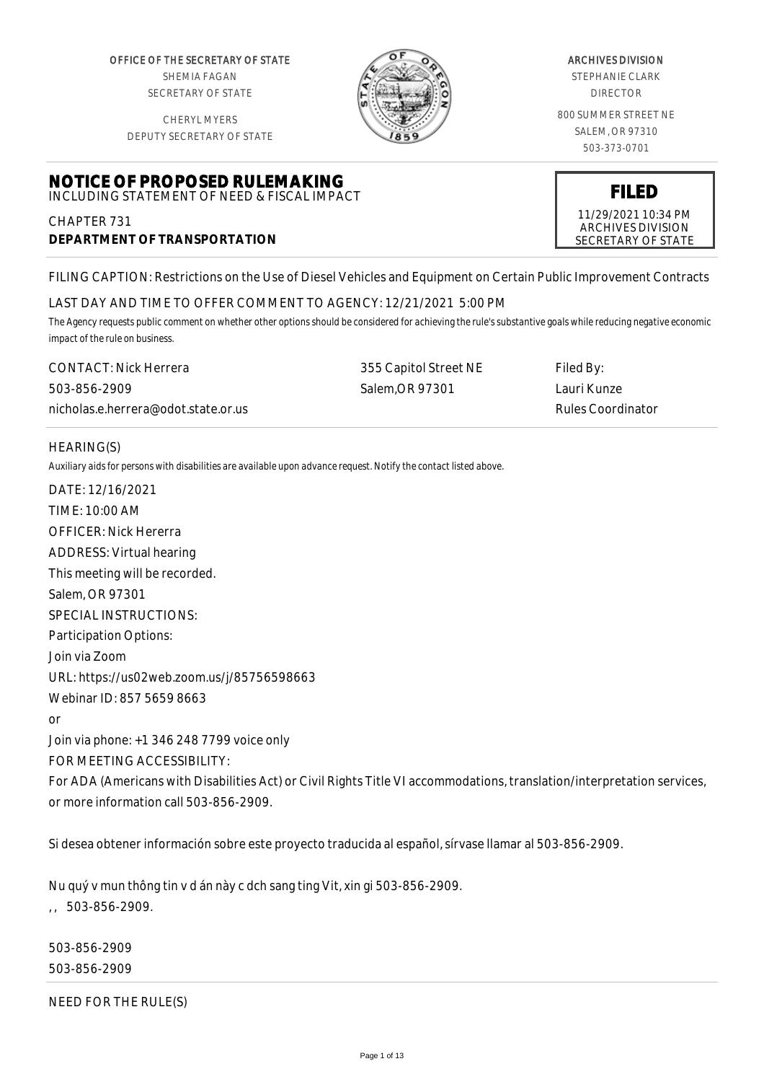OFFICE OF THE SECRETARY OF STATE SHEMIA FAGAN SECRETARY OF STATE

CHERYL MYERS



#### ARCHIVES DIVISION

STEPHANIE CLARK DIRECTOR

800 SUMMER STREET NE SALEM, OR 97310 503-373-0701

> **FILED** 11/29/2021 10:34 PM ARCHIVES DIVISION SECRETARY OF STATE

DEPUTY SECRETARY OF STATE

**NOTICE OF PROPOSED RULEMAKING** INCLUDING STATEMENT OF NEED & FISCAL IMPACT

CHAPTER 731 **DEPARTMENT OF TRANSPORTATION**

FILING CAPTION: Restrictions on the Use of Diesel Vehicles and Equipment on Certain Public Improvement Contracts

#### LAST DAY AND TIME TO OFFER COMMENT TO AGENCY: 12/21/2021 5:00 PM

*The Agency requests public comment on whether other options should be considered for achieving the rule's substantive goals while reducing negative economic impact of the rule on business.*

| CONTACT: Nick Herrera               | 355 Capitol Street NE | Filed By:         |
|-------------------------------------|-----------------------|-------------------|
| 503-856-2909                        | Salem.OR 97301        | Lauri Kunze       |
| nicholas.e.herrera@odot.state.or.us |                       | Rules Coordinator |

#### HEARING(S)

*Auxiliary aids for persons with disabilities are available upon advance request. Notify the contact listed above.*

DATE: 12/16/2021 TIME: 10:00 AM OFFICER: Nick Hererra ADDRESS: Virtual hearing This meeting will be recorded. Salem, OR 97301 SPECIAL INSTRUCTIONS: Participation Options: Join via Zoom URL: https://us02web.zoom.us/j/85756598663 Webinar ID: 857 5659 8663 or Join via phone: +1 346 248 7799 voice only FOR MEETING ACCESSIBILITY: For ADA (Americans with Disabilities Act) or Civil Rights Title VI accommodations, translation/interpretation services, or more information call 503-856-2909.

Si desea obtener información sobre este proyecto traducida al español, sírvase llamar al 503-856-2909.

Nu quý v mun thông tin v d án này c dch sang ting Vit, xin gi 503-856-2909.  $, 503 - 856 - 2909.$ 

503-856-2909 503-856-2909

NEED FOR THE RULE(S)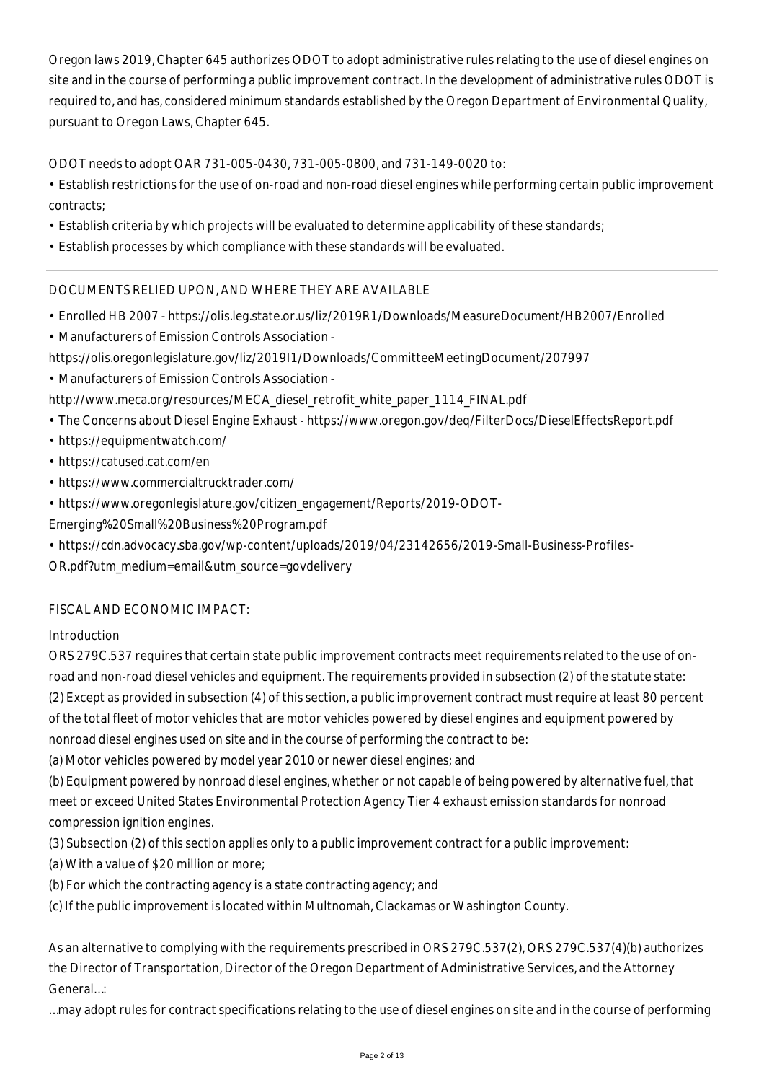Oregon laws 2019, Chapter 645 authorizes ODOT to adopt administrative rules relating to the use of diesel engines on site and in the course of performing a public improvement contract. In the development of administrative rules ODOT is required to, and has, considered minimum standards established by the Oregon Department of Environmental Quality, pursuant to Oregon Laws, Chapter 645.

ODOT needs to adopt OAR 731-005-0430, 731-005-0800, and 731-149-0020 to:

- Establish restrictions for the use of on-road and non-road diesel engines while performing certain public improvement contracts;
- Establish criteria by which projects will be evaluated to determine applicability of these standards;
- Establish processes by which compliance with these standards will be evaluated.

# DOCUMENTS RELIED UPON, AND WHERE THEY ARE AVAILABLE

- Enrolled HB 2007 https://olis.leg.state.or.us/liz/2019R1/Downloads/MeasureDocument/HB2007/Enrolled
- Manufacturers of Emission Controls Association -
- https://olis.oregonlegislature.gov/liz/2019I1/Downloads/CommitteeMeetingDocument/207997
- Manufacturers of Emission Controls Association -
- http://www.meca.org/resources/MECA\_diesel\_retrofit\_white\_paper\_1114\_FINAL.pdf
- The Concerns about Diesel Engine Exhaust https://www.oregon.gov/deq/FilterDocs/DieselEffectsReport.pdf
- https://equipmentwatch.com/
- https://catused.cat.com/en
- https://www.commercialtrucktrader.com/
- https://www.oregonlegislature.gov/citizen\_engagement/Reports/2019-ODOT-

Emerging%20Small%20Business%20Program.pdf

• https://cdn.advocacy.sba.gov/wp-content/uploads/2019/04/23142656/2019-Small-Business-Profiles-

OR.pdf?utm\_medium=email&utm\_source=govdelivery

## FISCAL AND ECONOMIC IMPACT:

Introduction

ORS 279C.537 requires that certain state public improvement contracts meet requirements related to the use of onroad and non-road diesel vehicles and equipment. The requirements provided in subsection (2) of the statute state:

(2) Except as provided in subsection (4) of this section, a public improvement contract must require at least 80 percent of the total fleet of motor vehicles that are motor vehicles powered by diesel engines and equipment powered by

nonroad diesel engines used on site and in the course of performing the contract to be:

(a) Motor vehicles powered by model year 2010 or newer diesel engines; and

(b) Equipment powered by nonroad diesel engines, whether or not capable of being powered by alternative fuel, that meet or exceed United States Environmental Protection Agency Tier 4 exhaust emission standards for nonroad compression ignition engines.

(3) Subsection (2) of this section applies only to a public improvement contract for a public improvement:

- (a) With a value of \$20 million or more;
- (b) For which the contracting agency is a state contracting agency; and

(c) If the public improvement is located within Multnomah, Clackamas or Washington County.

As an alternative to complying with the requirements prescribed in ORS 279C.537(2), ORS 279C.537(4)(b) authorizes the Director of Transportation, Director of the Oregon Department of Administrative Services, and the Attorney General…:

…may adopt rules for contract specifications relating to the use of diesel engines on site and in the course of performing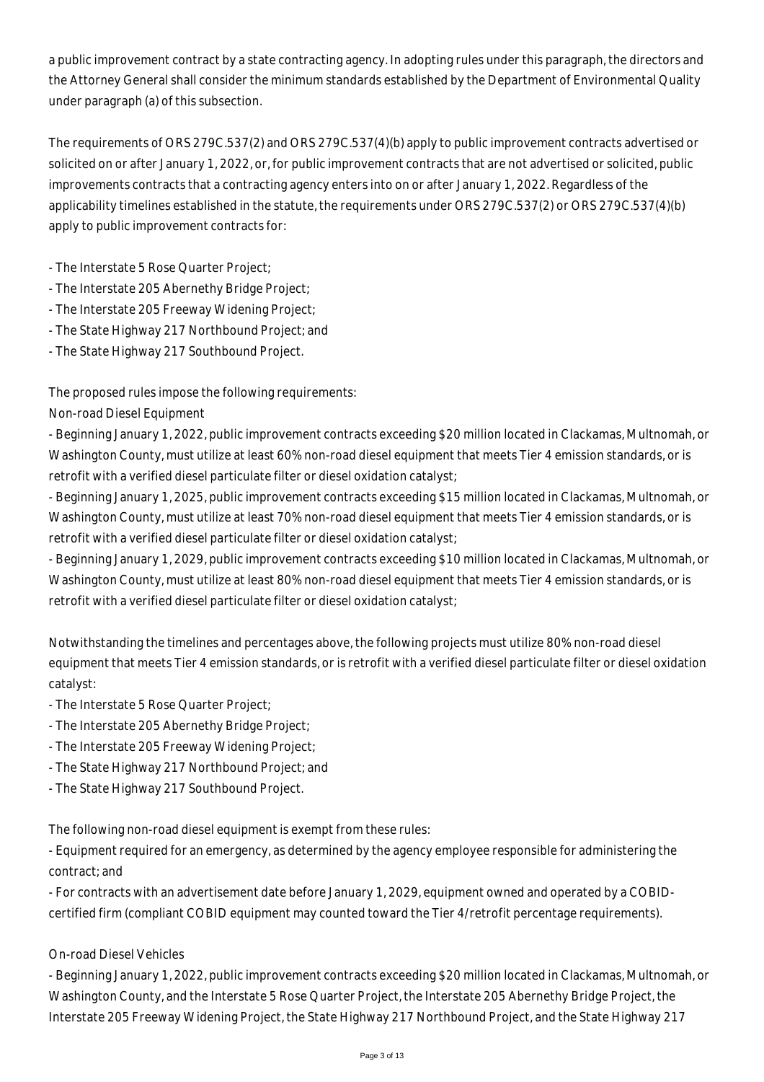a public improvement contract by a state contracting agency. In adopting rules under this paragraph, the directors and the Attorney General shall consider the minimum standards established by the Department of Environmental Quality under paragraph (a) of this subsection.

The requirements of ORS 279C.537(2) and ORS 279C.537(4)(b) apply to public improvement contracts advertised or solicited on or after January 1, 2022, or, for public improvement contracts that are not advertised or solicited, public improvements contracts that a contracting agency enters into on or after January 1, 2022. Regardless of the applicability timelines established in the statute, the requirements under ORS 279C.537(2) or ORS 279C.537(4)(b) apply to public improvement contracts for:

- The Interstate 5 Rose Quarter Project;
- The Interstate 205 Abernethy Bridge Project;
- The Interstate 205 Freeway Widening Project;
- The State Highway 217 Northbound Project; and
- The State Highway 217 Southbound Project.

The proposed rules impose the following requirements:

Non-road Diesel Equipment

- Beginning January 1, 2022, public improvement contracts exceeding \$20 million located in Clackamas, Multnomah, or Washington County, must utilize at least 60% non-road diesel equipment that meets Tier 4 emission standards, or is retrofit with a verified diesel particulate filter or diesel oxidation catalyst;

- Beginning January 1, 2025, public improvement contracts exceeding \$15 million located in Clackamas, Multnomah, or Washington County, must utilize at least 70% non-road diesel equipment that meets Tier 4 emission standards, or is retrofit with a verified diesel particulate filter or diesel oxidation catalyst;

- Beginning January 1, 2029, public improvement contracts exceeding \$10 million located in Clackamas, Multnomah, or Washington County, must utilize at least 80% non-road diesel equipment that meets Tier 4 emission standards, or is retrofit with a verified diesel particulate filter or diesel oxidation catalyst;

Notwithstanding the timelines and percentages above, the following projects must utilize 80% non-road diesel equipment that meets Tier 4 emission standards, or is retrofit with a verified diesel particulate filter or diesel oxidation catalyst:

- The Interstate 5 Rose Quarter Project;
- The Interstate 205 Abernethy Bridge Project;
- The Interstate 205 Freeway Widening Project;
- The State Highway 217 Northbound Project; and
- The State Highway 217 Southbound Project.

The following non-road diesel equipment is exempt from these rules:

- Equipment required for an emergency, as determined by the agency employee responsible for administering the contract; and

- For contracts with an advertisement date before January 1, 2029, equipment owned and operated by a COBIDcertified firm (compliant COBID equipment may counted toward the Tier 4/retrofit percentage requirements).

## On-road Diesel Vehicles

- Beginning January 1, 2022, public improvement contracts exceeding \$20 million located in Clackamas, Multnomah, or Washington County, and the Interstate 5 Rose Quarter Project, the Interstate 205 Abernethy Bridge Project, the Interstate 205 Freeway Widening Project, the State Highway 217 Northbound Project, and the State Highway 217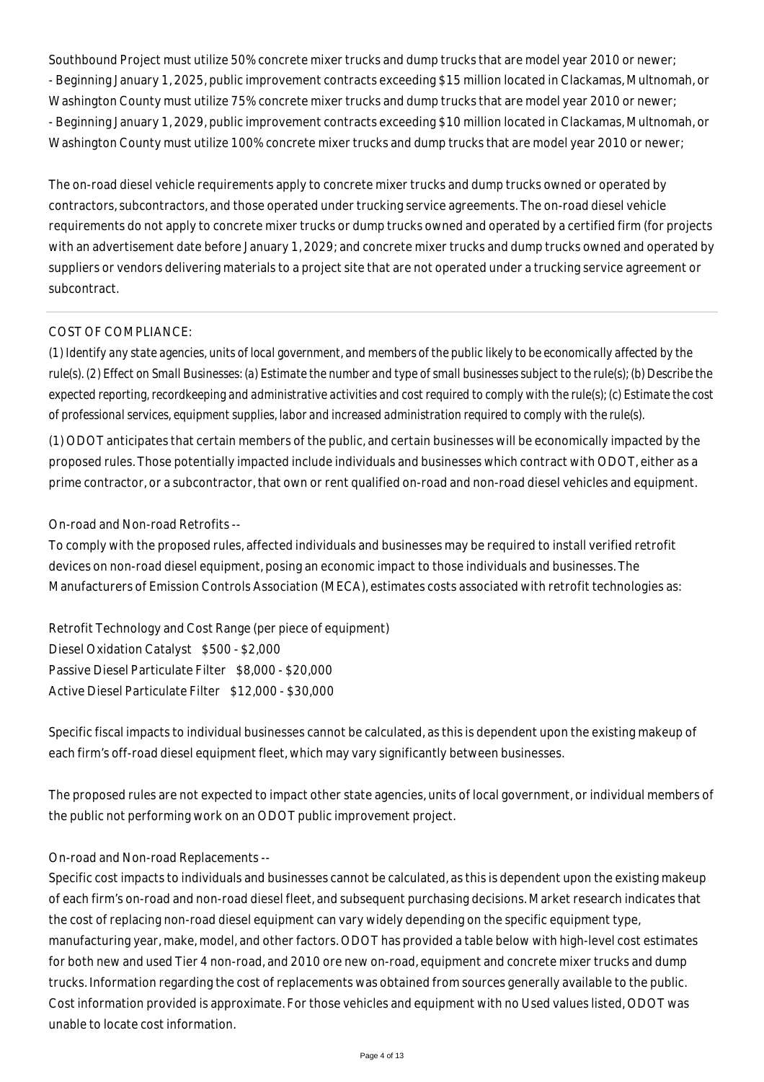Southbound Project must utilize 50% concrete mixer trucks and dump trucks that are model year 2010 or newer; - Beginning January 1, 2025, public improvement contracts exceeding \$15 million located in Clackamas, Multnomah, or Washington County must utilize 75% concrete mixer trucks and dump trucks that are model year 2010 or newer; - Beginning January 1, 2029, public improvement contracts exceeding \$10 million located in Clackamas, Multnomah, or Washington County must utilize 100% concrete mixer trucks and dump trucks that are model year 2010 or newer;

The on-road diesel vehicle requirements apply to concrete mixer trucks and dump trucks owned or operated by contractors, subcontractors, and those operated under trucking service agreements. The on-road diesel vehicle requirements do not apply to concrete mixer trucks or dump trucks owned and operated by a certified firm (for projects with an advertisement date before January 1, 2029; and concrete mixer trucks and dump trucks owned and operated by suppliers or vendors delivering materials to a project site that are not operated under a trucking service agreement or subcontract.

## COST OF COMPLIANCE:

*(1) Identify any state agencies, units of local government, and members of the public likely to be economically affected by the rule(s). (2) Effect on Small Businesses: (a) Estimate the number and type of small businesses subject to the rule(s); (b) Describe the expected reporting, recordkeeping and administrative activities and cost required to comply with the rule(s); (c) Estimate the cost of professional services, equipment supplies, labor and increased administration required to comply with the rule(s).*

(1) ODOT anticipates that certain members of the public, and certain businesses will be economically impacted by the proposed rules. Those potentially impacted include individuals and businesses which contract with ODOT, either as a prime contractor, or a subcontractor, that own or rent qualified on-road and non-road diesel vehicles and equipment.

# On-road and Non-road Retrofits --

To comply with the proposed rules, affected individuals and businesses may be required to install verified retrofit devices on non-road diesel equipment, posing an economic impact to those individuals and businesses. The Manufacturers of Emission Controls Association (MECA), estimates costs associated with retrofit technologies as:

Retrofit Technology and Cost Range (per piece of equipment) Diesel Oxidation Catalyst \$500 - \$2,000 Passive Diesel Particulate Filter \$8,000 - \$20,000 Active Diesel Particulate Filter \$12,000 - \$30,000

Specific fiscal impacts to individual businesses cannot be calculated, as this is dependent upon the existing makeup of each firm's off-road diesel equipment fleet, which may vary significantly between businesses.

The proposed rules are not expected to impact other state agencies, units of local government, or individual members of the public not performing work on an ODOT public improvement project.

## On-road and Non-road Replacements --

Specific cost impacts to individuals and businesses cannot be calculated, as this is dependent upon the existing makeup of each firm's on-road and non-road diesel fleet, and subsequent purchasing decisions. Market research indicates that the cost of replacing non-road diesel equipment can vary widely depending on the specific equipment type, manufacturing year, make, model, and other factors. ODOT has provided a table below with high-level cost estimates for both new and used Tier 4 non-road, and 2010 ore new on-road, equipment and concrete mixer trucks and dump trucks. Information regarding the cost of replacements was obtained from sources generally available to the public. Cost information provided is approximate. For those vehicles and equipment with no Used values listed, ODOT was unable to locate cost information.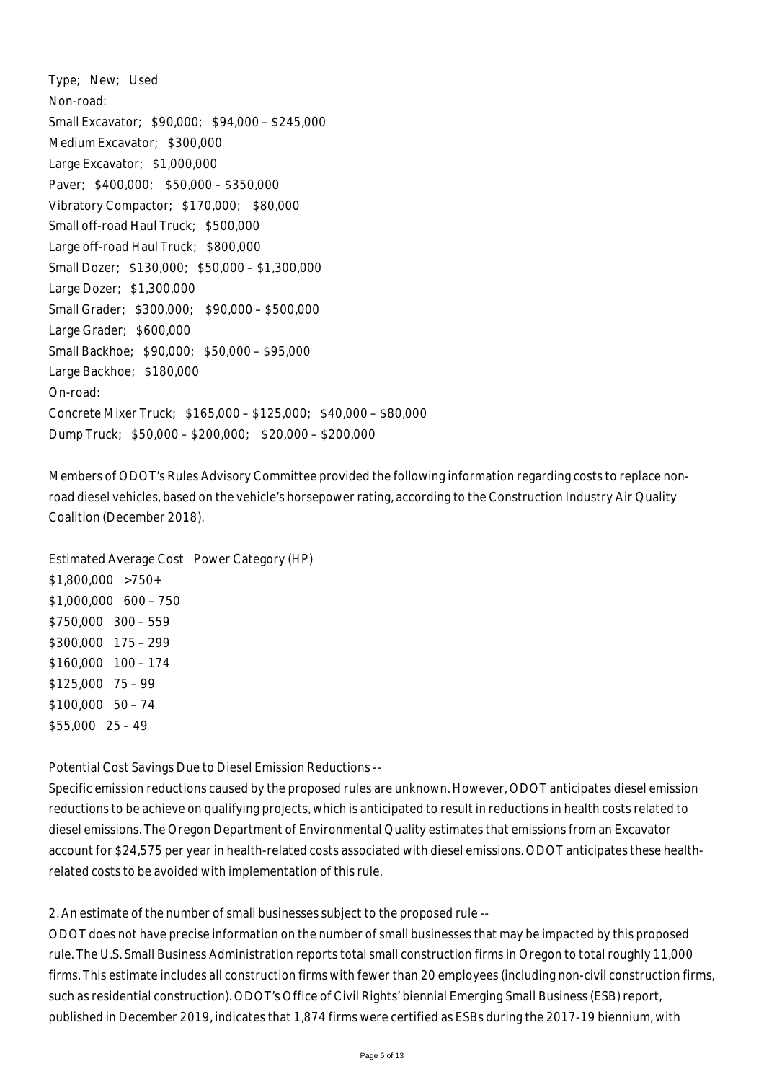Type; New; Used Non-road: Small Excavator; \$90,000; \$94,000 – \$245,000 Medium Excavator; \$300,000 Large Excavator; \$1,000,000 Paver; \$400,000; \$50,000 – \$350,000 Vibratory Compactor; \$170,000; \$80,000 Small off-road Haul Truck; \$500,000 Large off-road Haul Truck; \$800,000 Small Dozer; \$130,000; \$50,000 – \$1,300,000 Large Dozer; \$1,300,000 Small Grader; \$300,000; \$90,000 – \$500,000 Large Grader; \$600,000 Small Backhoe; \$90,000; \$50,000 – \$95,000 Large Backhoe; \$180,000 On-road: Concrete Mixer Truck; \$165,000 – \$125,000; \$40,000 – \$80,000 Dump Truck; \$50,000 – \$200,000; \$20,000 – \$200,000

Members of ODOT's Rules Advisory Committee provided the following information regarding costs to replace nonroad diesel vehicles, based on the vehicle's horsepower rating, according to the Construction Industry Air Quality Coalition (December 2018).

Estimated Average Cost Power Category (HP) \$1,800,000 >750+ \$1,000,000 600 – 750 \$750,000 300 – 559 \$300,000 175 – 299 \$160,000 100 – 174 \$125,000 75 – 99 \$100,000 50 – 74 \$55,000 25 – 49

Potential Cost Savings Due to Diesel Emission Reductions --

Specific emission reductions caused by the proposed rules are unknown. However, ODOT anticipates diesel emission reductions to be achieve on qualifying projects, which is anticipated to result in reductions in health costs related to diesel emissions. The Oregon Department of Environmental Quality estimates that emissions from an Excavator account for \$24,575 per year in health-related costs associated with diesel emissions. ODOT anticipates these healthrelated costs to be avoided with implementation of this rule.

2. An estimate of the number of small businesses subject to the proposed rule --

ODOT does not have precise information on the number of small businesses that may be impacted by this proposed rule. The U.S. Small Business Administration reports total small construction firms in Oregon to total roughly 11,000 firms. This estimate includes all construction firms with fewer than 20 employees (including non-civil construction firms, such as residential construction). ODOT's Office of Civil Rights' biennial Emerging Small Business (ESB) report, published in December 2019, indicates that 1,874 firms were certified as ESBs during the 2017-19 biennium, with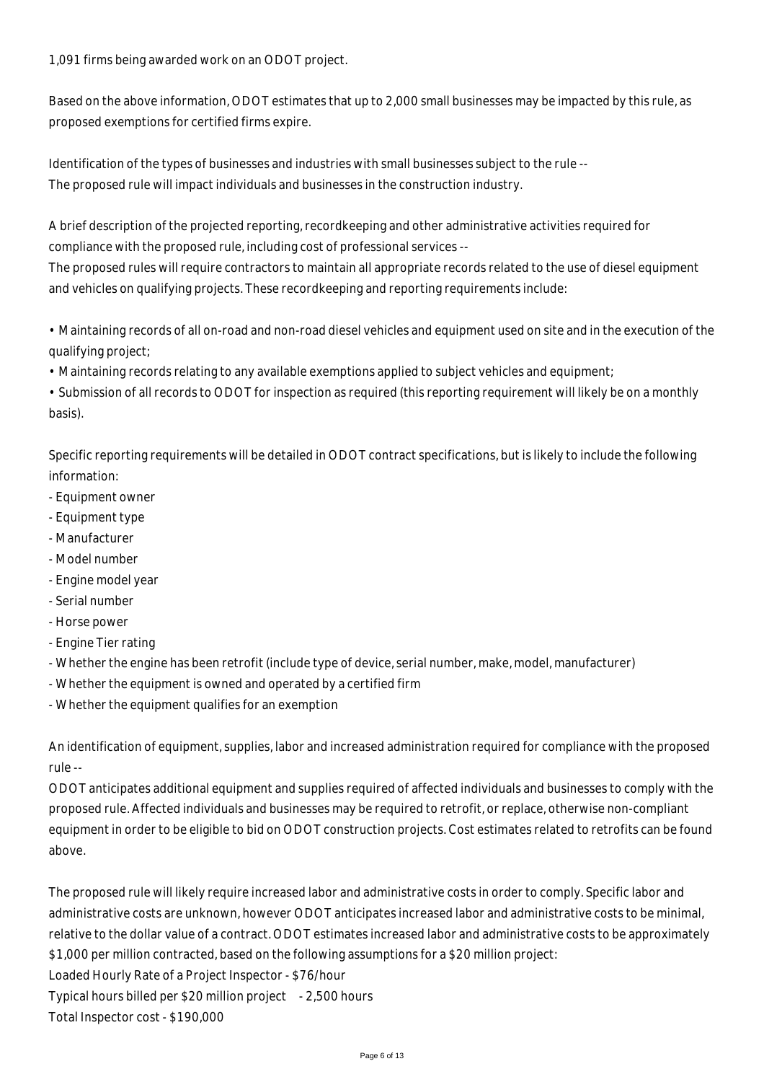1,091 firms being awarded work on an ODOT project.

Based on the above information, ODOT estimates that up to 2,000 small businesses may be impacted by this rule, as proposed exemptions for certified firms expire.

Identification of the types of businesses and industries with small businesses subject to the rule -- The proposed rule will impact individuals and businesses in the construction industry.

A brief description of the projected reporting, recordkeeping and other administrative activities required for compliance with the proposed rule, including cost of professional services --

The proposed rules will require contractors to maintain all appropriate records related to the use of diesel equipment and vehicles on qualifying projects. These recordkeeping and reporting requirements include:

• Maintaining records of all on-road and non-road diesel vehicles and equipment used on site and in the execution of the qualifying project;

• Maintaining records relating to any available exemptions applied to subject vehicles and equipment;

• Submission of all records to ODOT for inspection as required (this reporting requirement will likely be on a monthly basis).

Specific reporting requirements will be detailed in ODOT contract specifications, but is likely to include the following information:

- Equipment owner
- Equipment type
- Manufacturer
- Model number
- Engine model year
- Serial number
- Horse power
- Engine Tier rating
- Whether the engine has been retrofit (include type of device, serial number, make, model, manufacturer)
- Whether the equipment is owned and operated by a certified firm
- Whether the equipment qualifies for an exemption

An identification of equipment, supplies, labor and increased administration required for compliance with the proposed rule --

ODOT anticipates additional equipment and supplies required of affected individuals and businesses to comply with the proposed rule. Affected individuals and businesses may be required to retrofit, or replace, otherwise non-compliant equipment in order to be eligible to bid on ODOT construction projects. Cost estimates related to retrofits can be found above.

The proposed rule will likely require increased labor and administrative costs in order to comply. Specific labor and administrative costs are unknown, however ODOT anticipates increased labor and administrative costs to be minimal, relative to the dollar value of a contract. ODOT estimates increased labor and administrative costs to be approximately \$1,000 per million contracted, based on the following assumptions for a \$20 million project: Loaded Hourly Rate of a Project Inspector - \$76/hour

Typical hours billed per \$20 million project - 2,500 hours

Total Inspector cost - \$190,000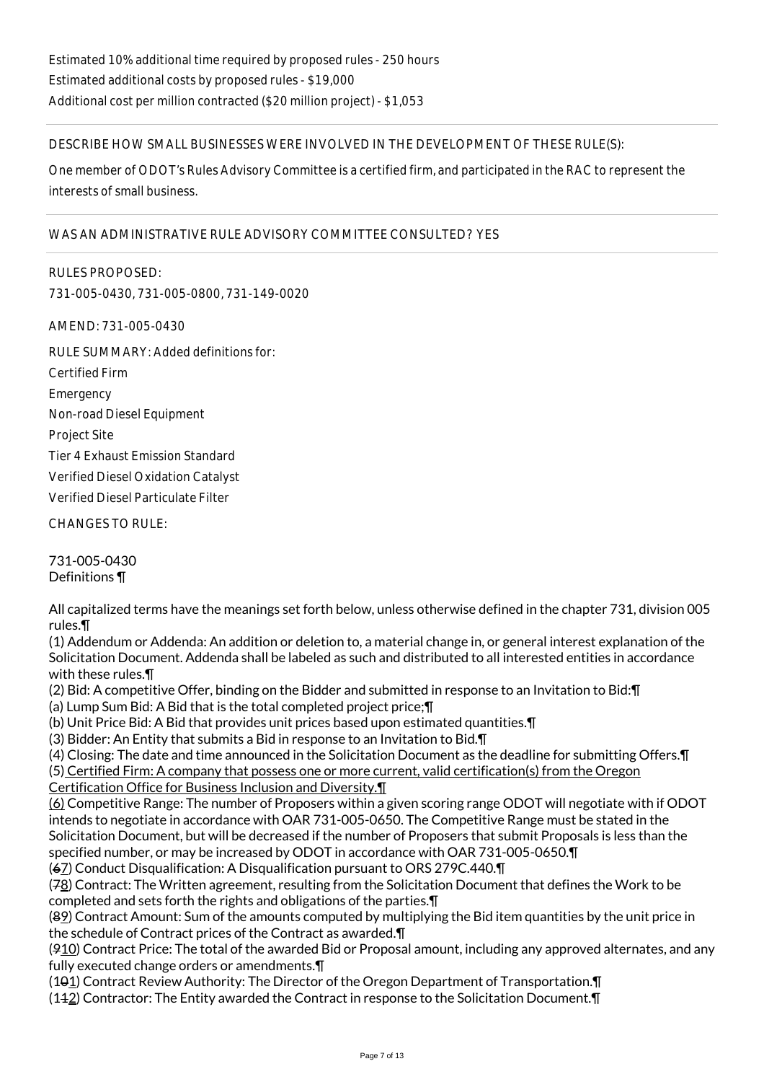## DESCRIBE HOW SMALL BUSINESSES WERE INVOLVED IN THE DEVELOPMENT OF THESE RULE(S):

One member of ODOT's Rules Advisory Committee is a certified firm, and participated in the RAC to represent the interests of small business.

## WAS AN ADMINISTRATIVE RULE ADVISORY COMMITTEE CONSULTED? YES

RULES PROPOSED: 731-005-0430, 731-005-0800, 731-149-0020

AMEND: 731-005-0430

RULE SUMMARY: Added definitions for: Certified Firm **Emergency** Non-road Diesel Equipment Project Site Tier 4 Exhaust Emission Standard Verified Diesel Oxidation Catalyst Verified Diesel Particulate Filter CHANGES TO RULE:

731-005-0430

Definitions ¶

All capitalized terms have the meanings set forth below, unless otherwise defined in the chapter 731, division 005 rules.¶

(1) Addendum or Addenda: An addition or deletion to, a material change in, or general interest explanation of the Solicitation Document. Addenda shall be labeled as such and distributed to all interested entities in accordance with these rules.¶

(2) Bid: A competitive Offer, binding on the Bidder and submitted in response to an Invitation to Bid:¶

(a) Lump Sum Bid: A Bid that is the total completed project price;¶

(b) Unit Price Bid: A Bid that provides unit prices based upon estimated quantities.¶

(3) Bidder: An Entity that submits a Bid in response to an Invitation to Bid.¶

(4) Closing: The date and time announced in the Solicitation Document as the deadline for submitting Offers.¶

(5) Certified Firm: A company that possess one or more current, valid certification(s) from the Oregon

Certification Office for Business Inclusion and Diversity.¶

(6) Competitive Range: The number of Proposers within a given scoring range ODOT will negotiate with if ODOT intends to negotiate in accordance with OAR 731-005-0650. The Competitive Range must be stated in the Solicitation Document, but will be decreased if the number of Proposers that submit Proposals is less than the specified number, or may be increased by ODOT in accordance with OAR 731-005-0650.¶

(67) Conduct Disqualification: A Disqualification pursuant to ORS 279C.440.¶

(78) Contract: The Written agreement, resulting from the Solicitation Document that defines the Work to be completed and sets forth the rights and obligations of the parties.¶

(89) Contract Amount: Sum of the amounts computed by multiplying the Bid item quantities by the unit price in the schedule of Contract prices of the Contract as awarded.¶

(910) Contract Price: The total of the awarded Bid or Proposal amount, including any approved alternates, and any fully executed change orders or amendments.¶

(101) Contract Review Authority: The Director of the Oregon Department of Transportation.¶

(112) Contractor: The Entity awarded the Contract in response to the Solicitation Document.¶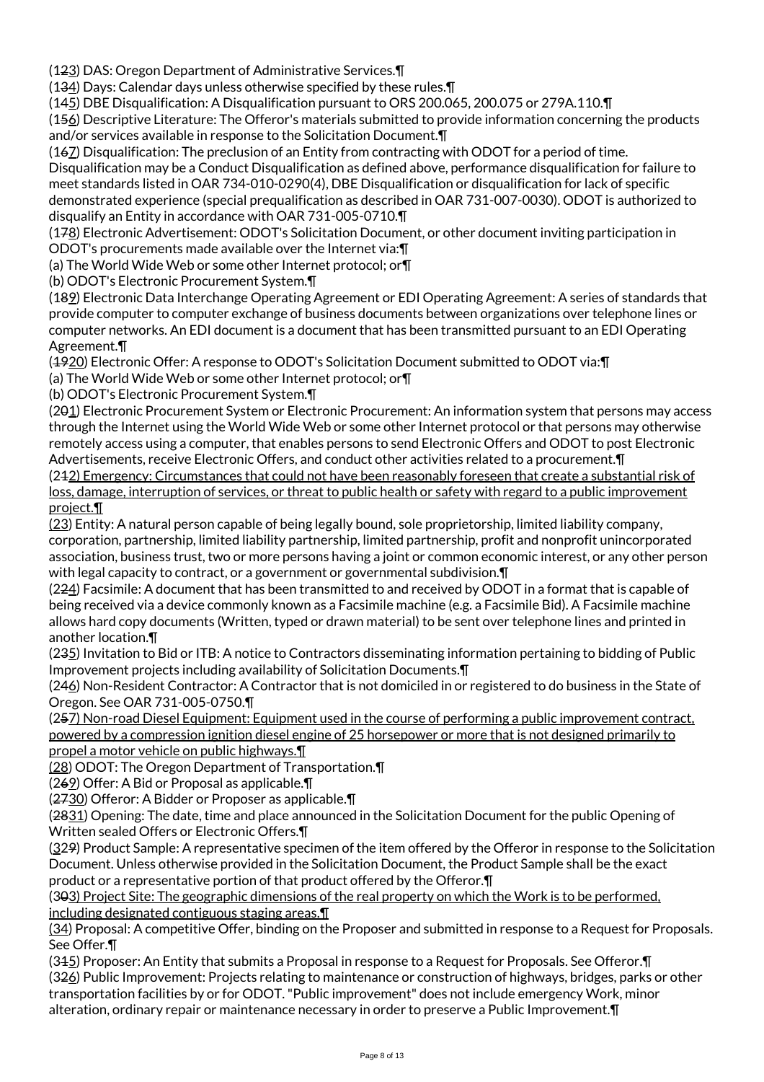(123) DAS: Oregon Department of Administrative Services.¶

(134) Days: Calendar days unless otherwise specified by these rules.¶

(145) DBE Disqualification: A Disqualification pursuant to ORS 200.065, 200.075 or 279A.110.¶

(156) Descriptive Literature: The Offeror's materials submitted to provide information concerning the products and/or services available in response to the Solicitation Document.¶

(167) Disqualification: The preclusion of an Entity from contracting with ODOT for a period of time. Disqualification may be a Conduct Disqualification as defined above, performance disqualification for failure to meet standards listed in OAR 734-010-0290(4), DBE Disqualification or disqualification for lack of specific demonstrated experience (special prequalification as described in OAR 731-007-0030). ODOT is authorized to disqualify an Entity in accordance with OAR 731-005-0710.¶

(178) Electronic Advertisement: ODOT's Solicitation Document, or other document inviting participation in ODOT's procurements made available over the Internet via:¶

(a) The World Wide Web or some other Internet protocol; or¶

(b) ODOT's Electronic Procurement System.¶

(189) Electronic Data Interchange Operating Agreement or EDI Operating Agreement: A series of standards that provide computer to computer exchange of business documents between organizations over telephone lines or computer networks. An EDI document is a document that has been transmitted pursuant to an EDI Operating Agreement.¶

(1920) Electronic Offer: A response to ODOT's Solicitation Document submitted to ODOT via:¶

(a) The World Wide Web or some other Internet protocol; or¶

(b) ODOT's Electronic Procurement System.¶

(201) Electronic Procurement System or Electronic Procurement: An information system that persons may access through the Internet using the World Wide Web or some other Internet protocol or that persons may otherwise remotely access using a computer, that enables persons to send Electronic Offers and ODOT to post Electronic Advertisements, receive Electronic Offers, and conduct other activities related to a procurement.¶

(212) Emergency: Circumstances that could not have been reasonably foreseen that create a substantial risk of loss, damage, interruption of services, or threat to public health or safety with regard to a public improvement project.¶

(23) Entity: A natural person capable of being legally bound, sole proprietorship, limited liability company, corporation, partnership, limited liability partnership, limited partnership, profit and nonprofit unincorporated association, business trust, two or more persons having a joint or common economic interest, or any other person with legal capacity to contract, or a government or governmental subdivision.¶

(224) Facsimile: A document that has been transmitted to and received by ODOT in a format that is capable of being received via a device commonly known as a Facsimile machine (e.g. a Facsimile Bid). A Facsimile machine allows hard copy documents (Written, typed or drawn material) to be sent over telephone lines and printed in another location.¶

(235) Invitation to Bid or ITB: A notice to Contractors disseminating information pertaining to bidding of Public Improvement projects including availability of Solicitation Documents.¶

(246) Non-Resident Contractor: A Contractor that is not domiciled in or registered to do business in the State of Oregon. See OAR 731-005-0750.¶

(257) Non-road Diesel Equipment: Equipment used in the course of performing a public improvement contract, powered by a compression ignition diesel engine of 25 horsepower or more that is not designed primarily to propel a motor vehicle on public highways.¶

(28) ODOT: The Oregon Department of Transportation.¶

(269) Offer: A Bid or Proposal as applicable.¶

(2730) Offeror: A Bidder or Proposer as applicable.¶

(2831) Opening: The date, time and place announced in the Solicitation Document for the public Opening of Written sealed Offers or Electronic Offers.¶

(329) Product Sample: A representative specimen of the item offered by the Offeror in response to the Solicitation Document. Unless otherwise provided in the Solicitation Document, the Product Sample shall be the exact product or a representative portion of that product offered by the Offeror.¶

(303) Project Site: The geographic dimensions of the real property on which the Work is to be performed, including designated contiguous staging areas.¶

(34) Proposal: A competitive Offer, binding on the Proposer and submitted in response to a Request for Proposals. See Offer.¶

(315) Proposer: An Entity that submits a Proposal in response to a Request for Proposals. See Offeror.¶ (326) Public Improvement: Projects relating to maintenance or construction of highways, bridges, parks or other transportation facilities by or for ODOT. "Public improvement" does not include emergency Work, minor alteration, ordinary repair or maintenance necessary in order to preserve a Public Improvement.¶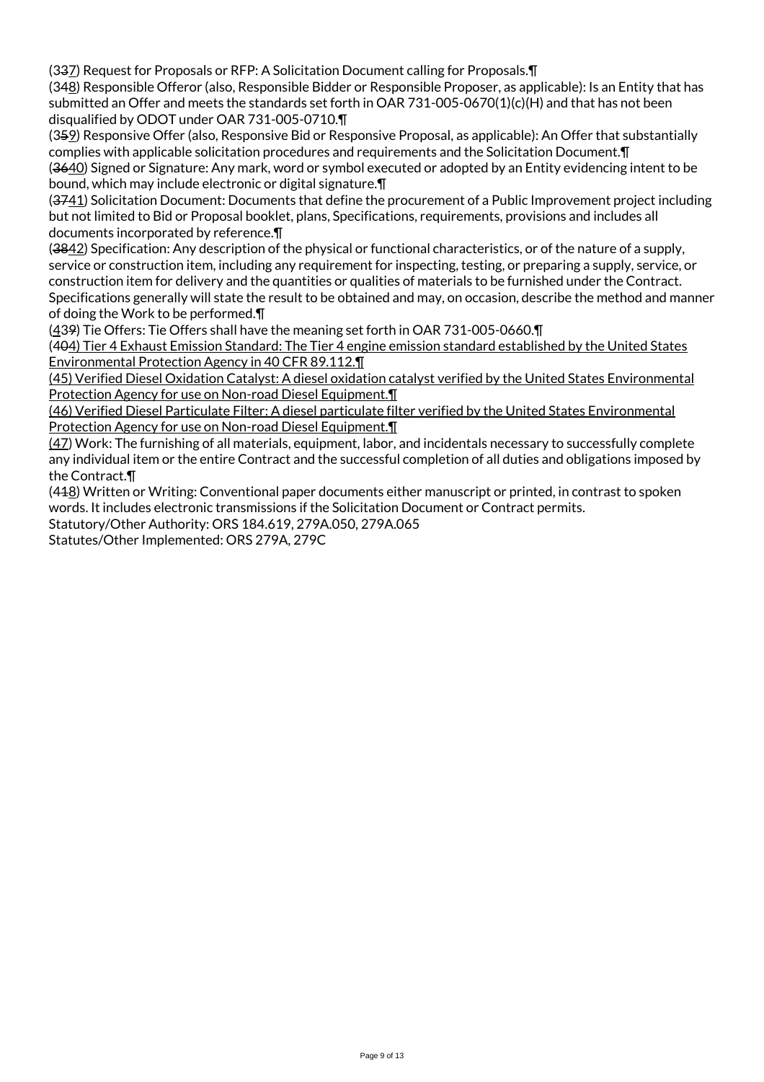(337) Request for Proposals or RFP: A Solicitation Document calling for Proposals.¶

(348) Responsible Offeror (also, Responsible Bidder or Responsible Proposer, as applicable): Is an Entity that has submitted an Offer and meets the standards set forth in OAR 731-005-0670(1)(c)(H) and that has not been disqualified by ODOT under OAR 731-005-0710.¶

(359) Responsive Offer (also, Responsive Bid or Responsive Proposal, as applicable): An Offer that substantially complies with applicable solicitation procedures and requirements and the Solicitation Document.¶ (3640) Signed or Signature: Any mark, word or symbol executed or adopted by an Entity evidencing intent to be bound, which may include electronic or digital signature.¶

(3741) Solicitation Document: Documents that define the procurement of a Public Improvement project including but not limited to Bid or Proposal booklet, plans, Specifications, requirements, provisions and includes all documents incorporated by reference.¶

(3842) Specification: Any description of the physical or functional characteristics, or of the nature of a supply, service or construction item, including any requirement for inspecting, testing, or preparing a supply, service, or construction item for delivery and the quantities or qualities of materials to be furnished under the Contract. Specifications generally will state the result to be obtained and may, on occasion, describe the method and manner of doing the Work to be performed.¶

(439) Tie Offers: Tie Offers shall have the meaning set forth in OAR 731-005-0660.¶

(404) Tier 4 Exhaust Emission Standard: The Tier 4 engine emission standard established by the United States Environmental Protection Agency in 40 CFR 89.112.¶

(45) Verified Diesel Oxidation Catalyst: A diesel oxidation catalyst verified by the United States Environmental Protection Agency for use on Non-road Diesel Equipment.¶

(46) Verified Diesel Particulate Filter: A diesel particulate filter verified by the United States Environmental Protection Agency for use on Non-road Diesel Equipment.¶

(47) Work: The furnishing of all materials, equipment, labor, and incidentals necessary to successfully complete any individual item or the entire Contract and the successful completion of all duties and obligations imposed by the Contract.¶

(418) Written or Writing: Conventional paper documents either manuscript or printed, in contrast to spoken words. It includes electronic transmissions if the Solicitation Document or Contract permits.

Statutory/Other Authority: ORS 184.619, 279A.050, 279A.065

Statutes/Other Implemented: ORS 279A, 279C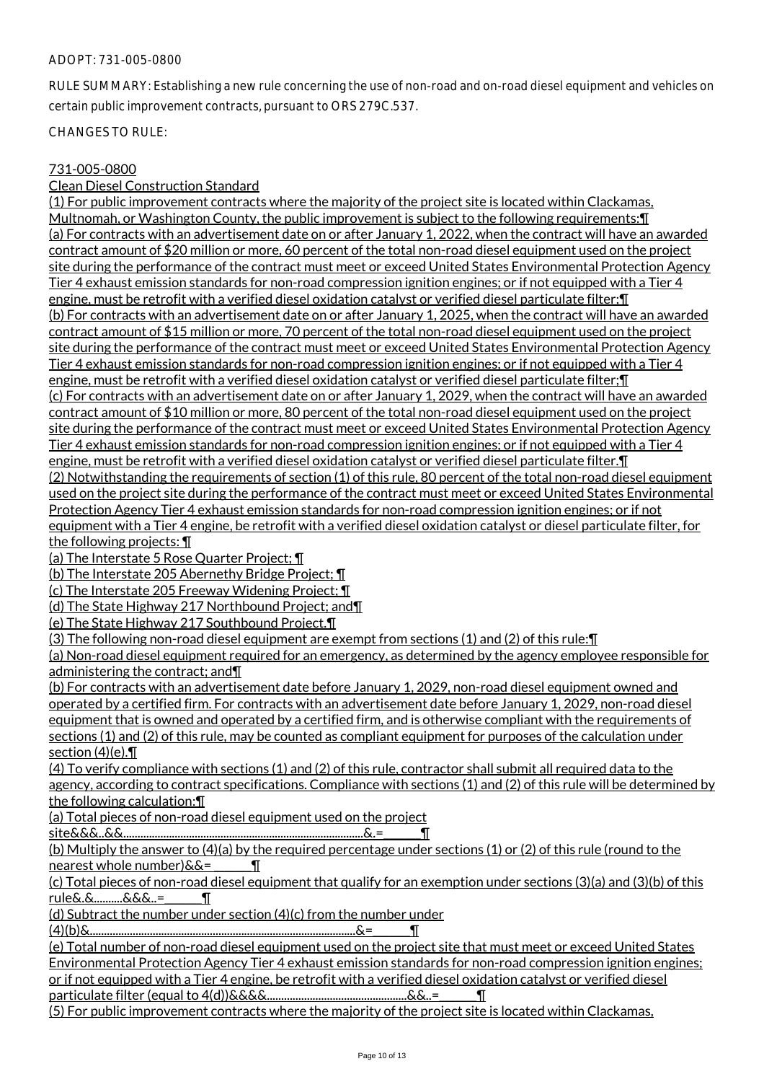#### ADOPT: 731-005-0800

RULE SUMMARY: Establishing a new rule concerning the use of non-road and on-road diesel equipment and vehicles on certain public improvement contracts, pursuant to ORS 279C.537.

CHANGES TO RULE:

#### 731-005-0800

Clean Diesel Construction Standard

(1) For public improvement contracts where the majority of the project site is located within Clackamas, Multnomah, or Washington County, the public improvement is subject to the following requirements:¶ (a) For contracts with an advertisement date on or after January 1, 2022, when the contract will have an awarded contract amount of \$20 million or more, 60 percent of the total non-road diesel equipment used on the project site during the performance of the contract must meet or exceed United States Environmental Protection Agency Tier 4 exhaust emission standards for non-road compression ignition engines; or if not equipped with a Tier 4 engine, must be retrofit with a verified diesel oxidation catalyst or verified diesel particulate filter;¶ (b) For contracts with an advertisement date on or after January 1, 2025, when the contract will have an awarded contract amount of \$15 million or more, 70 percent of the total non-road diesel equipment used on the project site during the performance of the contract must meet or exceed United States Environmental Protection Agency Tier 4 exhaust emission standards for non-road compression ignition engines; or if not equipped with a Tier 4 engine, must be retrofit with a verified diesel oxidation catalyst or verified diesel particulate filter;¶ (c) For contracts with an advertisement date on or after January 1, 2029, when the contract will have an awarded contract amount of \$10 million or more, 80 percent of the total non-road diesel equipment used on the project site during the performance of the contract must meet or exceed United States Environmental Protection Agency Tier 4 exhaust emission standards for non-road compression ignition engines; or if not equipped with a Tier 4 engine, must be retrofit with a verified diesel oxidation catalyst or verified diesel particulate filter.¶ (2) Notwithstanding the requirements of section (1) of this rule, 80 percent of the total non-road diesel equipment used on the project site during the performance of the contract must meet or exceed United States Environmental Protection Agency Tier 4 exhaust emission standards for non-road compression ignition engines; or if not equipment with a Tier 4 engine, be retrofit with a verified diesel oxidation catalyst or diesel particulate filter, for the following projects: ¶

(a) The Interstate 5 Rose Quarter Project; ¶

(b) The Interstate 205 Abernethy Bridge Project; ¶

(c) The Interstate 205 Freeway Widening Project; ¶

(d) The State Highway 217 Northbound Project; and¶

(e) The State Highway 217 Southbound Project.¶

(3) The following non-road diesel equipment are exempt from sections (1) and (2) of this rule:¶

(a) Non-road diesel equipment required for an emergency, as determined by the agency employee responsible for administering the contract; and¶

(b) For contracts with an advertisement date before January 1, 2029, non-road diesel equipment owned and operated by a certified firm. For contracts with an advertisement date before January 1, 2029, non-road diesel equipment that is owned and operated by a certified firm, and is otherwise compliant with the requirements of sections (1) and (2) of this rule, may be counted as compliant equipment for purposes of the calculation under section (4)(e).¶

(4) To verify compliance with sections (1) and (2) of this rule, contractor shall submit all required data to the agency, according to contract specifications. Compliance with sections (1) and (2) of this rule will be determined by the following calculation:¶

(a) Total pieces of non-road diesel equipment used on the project

site&&&..&&....................................................................................&.=\_\_\_\_\_\_\_¶

(b) Multiply the answer to (4)(a) by the required percentage under sections (1) or (2) of this rule (round to the nearest whole number) $&&=$  [

(c) Total pieces of non-road diesel equipment that qualify for an exemption under sections (3)(a) and (3)(b) of this rule&.&..........&&&..=\_\_\_\_\_\_\_¶

(d) Subtract the number under section (4)(c) from the number under

(4)(b)&.............................................................................................&=\_\_\_\_\_\_\_¶

(e) Total number of non-road diesel equipment used on the project site that must meet or exceed United States Environmental Protection Agency Tier 4 exhaust emission standards for non-road compression ignition engines; or if not equipped with a Tier 4 engine, be retrofit with a verified diesel oxidation catalyst or verified diesel particulate filter (equal to 4(d))&&&&.................................................&&..=\_\_\_\_\_\_\_¶

(5) For public improvement contracts where the majority of the project site is located within Clackamas,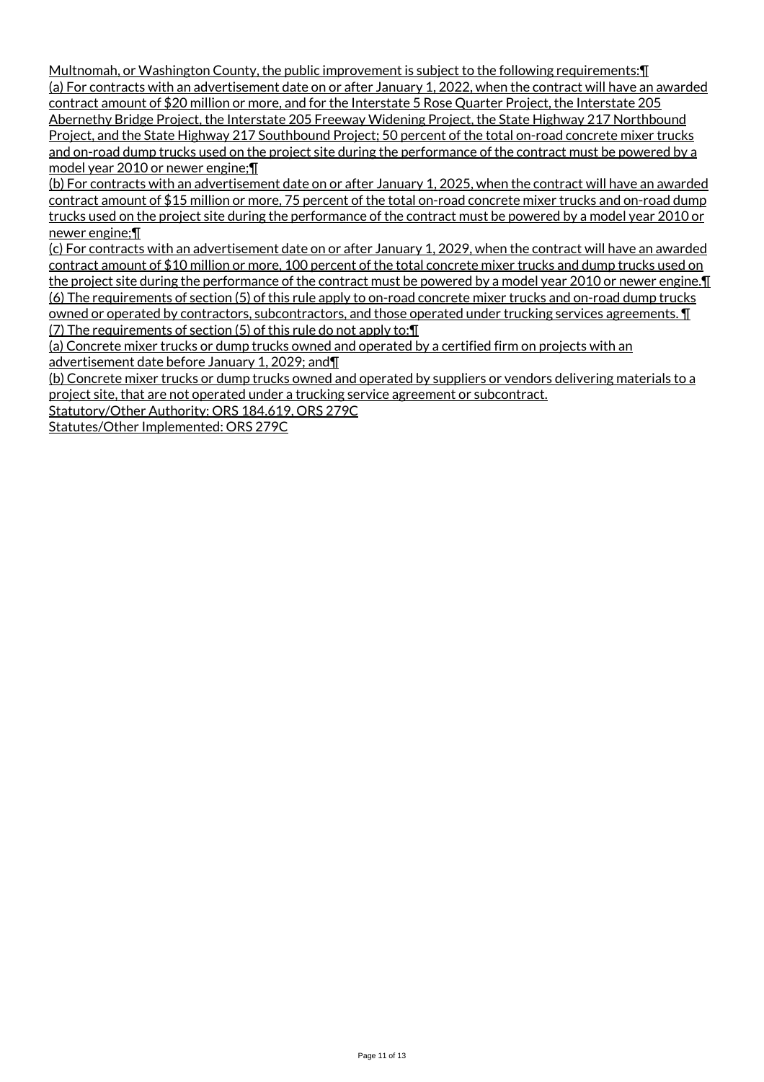Multnomah, or Washington County, the public improvement is subject to the following requirements:¶ (a) For contracts with an advertisement date on or after January 1, 2022, when the contract will have an awarded contract amount of \$20 million or more, and for the Interstate 5 Rose Quarter Project, the Interstate 205 Abernethy Bridge Project, the Interstate 205 Freeway Widening Project, the State Highway 217 Northbound Project, and the State Highway 217 Southbound Project; 50 percent of the total on-road concrete mixer trucks and on-road dump trucks used on the project site during the performance of the contract must be powered by a model year 2010 or newer engine;¶

(b) For contracts with an advertisement date on or after January 1, 2025, when the contract will have an awarded contract amount of \$15 million or more, 75 percent of the total on-road concrete mixer trucks and on-road dump trucks used on the project site during the performance of the contract must be powered by a model year 2010 or newer engine;¶

(c) For contracts with an advertisement date on or after January 1, 2029, when the contract will have an awarded contract amount of \$10 million or more, 100 percent of the total concrete mixer trucks and dump trucks used on the project site during the performance of the contract must be powered by a model year 2010 or newer engine.¶ (6) The requirements of section (5) of this rule apply to on-road concrete mixer trucks and on-road dump trucks owned or operated by contractors, subcontractors, and those operated under trucking services agreements. ¶ (7) The requirements of section (5) of this rule do not apply to:¶

(a) Concrete mixer trucks or dump trucks owned and operated by a certified firm on projects with an advertisement date before January 1, 2029; and¶

(b) Concrete mixer trucks or dump trucks owned and operated by suppliers or vendors delivering materials to a project site, that are not operated under a trucking service agreement or subcontract.

Statutory/Other Authority: ORS 184.619, ORS 279C

Statutes/Other Implemented: ORS 279C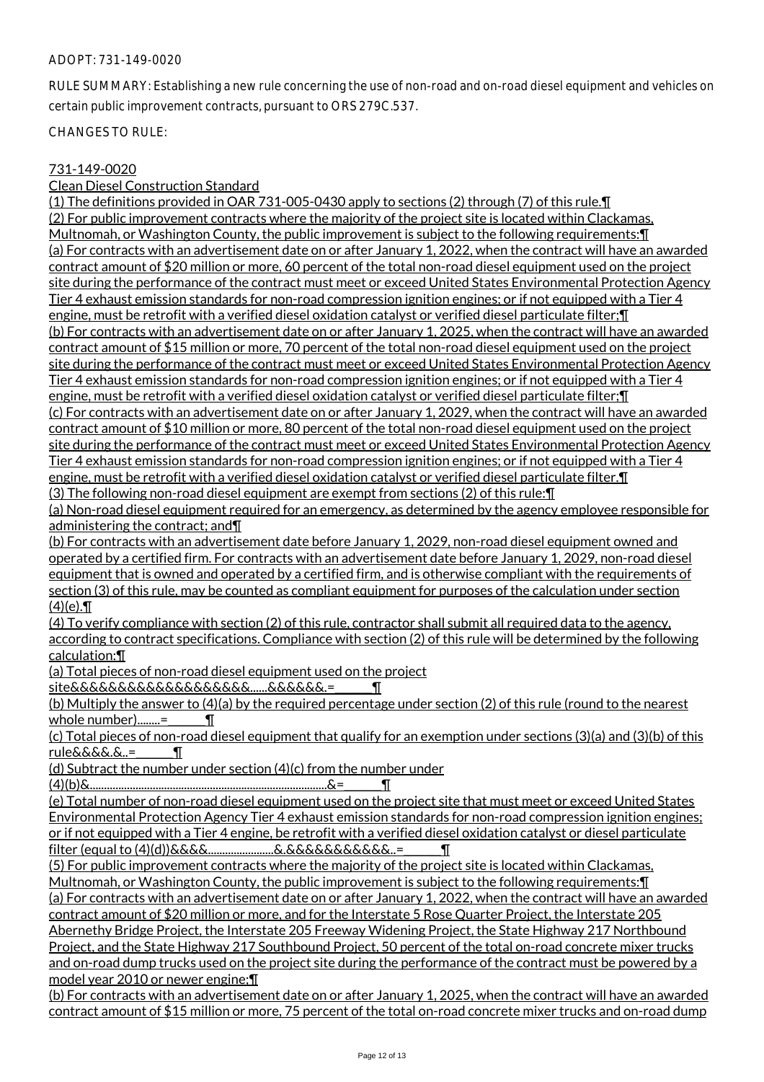#### ADOPT: 731-149-0020

RULE SUMMARY: Establishing a new rule concerning the use of non-road and on-road diesel equipment and vehicles on certain public improvement contracts, pursuant to ORS 279C.537.

CHANGES TO RULE:

#### 731-149-0020

Clean Diesel Construction Standard

(1) The definitions provided in OAR 731-005-0430 apply to sections (2) through (7) of this rule.¶ (2) For public improvement contracts where the majority of the project site is located within Clackamas, Multnomah, or Washington County, the public improvement is subject to the following requirements:¶ (a) For contracts with an advertisement date on or after January 1, 2022, when the contract will have an awarded contract amount of \$20 million or more, 60 percent of the total non-road diesel equipment used on the project site during the performance of the contract must meet or exceed United States Environmental Protection Agency Tier 4 exhaust emission standards for non-road compression ignition engines; or if not equipped with a Tier 4 engine, must be retrofit with a verified diesel oxidation catalyst or verified diesel particulate filter; [[1] (b) For contracts with an advertisement date on or after January 1, 2025, when the contract will have an awarded contract amount of \$15 million or more, 70 percent of the total non-road diesel equipment used on the project site during the performance of the contract must meet or exceed United States Environmental Protection Agency Tier 4 exhaust emission standards for non-road compression ignition engines; or if not equipped with a Tier 4 engine, must be retrofit with a verified diesel oxidation catalyst or verified diesel particulate filter;¶ (c) For contracts with an advertisement date on or after January 1, 2029, when the contract will have an awarded contract amount of \$10 million or more, 80 percent of the total non-road diesel equipment used on the project site during the performance of the contract must meet or exceed United States Environmental Protection Agency Tier 4 exhaust emission standards for non-road compression ignition engines; or if not equipped with a Tier 4 engine, must be retrofit with a verified diesel oxidation catalyst or verified diesel particulate filter.¶ (3) The following non-road diesel equipment are exempt from sections (2) of this rule:¶

(a) Non-road diesel equipment required for an emergency, as determined by the agency employee responsible for administering the contract; and¶

(b) For contracts with an advertisement date before January 1, 2029, non-road diesel equipment owned and operated by a certified firm. For contracts with an advertisement date before January 1, 2029, non-road diesel equipment that is owned and operated by a certified firm, and is otherwise compliant with the requirements of section (3) of this rule, may be counted as compliant equipment for purposes of the calculation under section  $(4)(e)$ . II

(4) To verify compliance with section (2) of this rule, contractor shall submit all required data to the agency, according to contract specifications. Compliance with section (2) of this rule will be determined by the following calculation:¶

(a) Total pieces of non-road diesel equipment used on the project

site&&&&&&&&&&&&&&&&&&&......&&&&&&.=\_\_\_\_\_\_\_¶

(b) Multiply the answer to (4)(a) by the required percentage under section (2) of this rule (round to the nearest whole number)........=  $\blacksquare$ 

(c) Total pieces of non-road diesel equipment that qualify for an exemption under sections (3)(a) and (3)(b) of this  $rule&&&&\&&\&&\&&\&&\&...=$ 

(d) Subtract the number under section (4)(c) from the number under

(4)(b)&...................................................................................&=\_\_\_\_\_\_\_¶

(e) Total number of non-road diesel equipment used on the project site that must meet or exceed United States Environmental Protection Agency Tier 4 exhaust emission standards for non-road compression ignition engines; or if not equipped with a Tier 4 engine, be retrofit with a verified diesel oxidation catalyst or diesel particulate filter (equal to (4)(d))&&&&.......................&.&&&&&&&&&&&..=\_\_\_\_\_\_\_¶

(5) For public improvement contracts where the majority of the project site is located within Clackamas, Multnomah, or Washington County, the public improvement is subject to the following requirements:¶

(a) For contracts with an advertisement date on or after January 1, 2022, when the contract will have an awarded contract amount of \$20 million or more, and for the Interstate 5 Rose Quarter Project, the Interstate 205 Abernethy Bridge Project, the Interstate 205 Freeway Widening Project, the State Highway 217 Northbound Project, and the State Highway 217 Southbound Project, 50 percent of the total on-road concrete mixer trucks

and on-road dump trucks used on the project site during the performance of the contract must be powered by a model year 2010 or newer engine;¶

(b) For contracts with an advertisement date on or after January 1, 2025, when the contract will have an awarded contract amount of \$15 million or more, 75 percent of the total on-road concrete mixer trucks and on-road dump